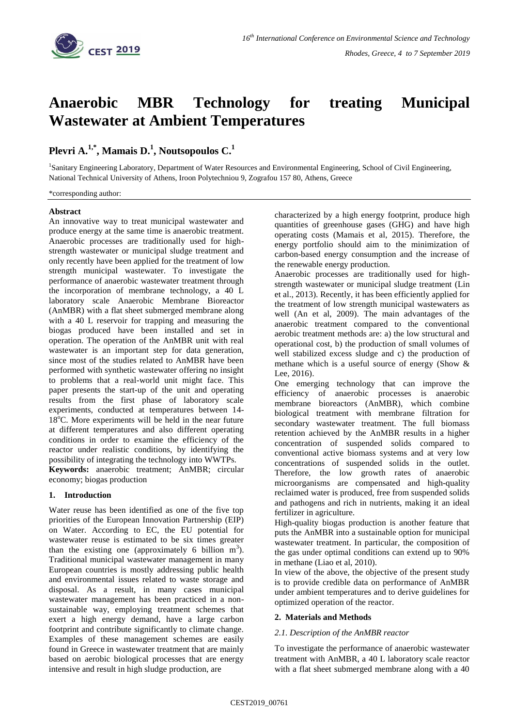

# **Anaerobic MBR Technology for treating Municipal Wastewater at Ambient Temperatures**

# **Plevri A.1,\*, Mamais D.<sup>1</sup> , Noutsopoulos C.<sup>1</sup>**

1 Sanitary Engineering Laboratory, Department of Water Resources and Environmental Engineering, School of Civil Engineering, National Technical University of Athens, Iroon Polytechniou 9, Zografou 157 80, Athens, Greece

\*corresponding author:

#### **Abstract**

An innovative way to treat municipal wastewater and produce energy at the same time is anaerobic treatment. Anaerobic processes are traditionally used for highstrength wastewater or municipal sludge treatment and only recently have been applied for the treatment of low strength municipal wastewater. To investigate the performance of anaerobic wastewater treatment through the incorporation of membrane technology, a 40 L laboratory scale Anaerobic Membrane Bioreactor (AnMBR) with a flat sheet submerged membrane along with a 40 L reservoir for trapping and measuring the biogas produced have been installed and set in operation. The operation of the AnMBR unit with real wastewater is an important step for data generation, since most of the studies related to AnMBR have been performed with synthetic wastewater offering no insight to problems that a real-world unit might face. This paper presents the start-up of the unit and operating results from the first phase of laboratory scale experiments, conducted at temperatures between 14- 18°C. More experiments will be held in the near future at different temperatures and also different operating conditions in order to examine the efficiency of the reactor under realistic conditions, by identifying the possibility of integrating the technology into WWTPs.

**Keywords:** anaerobic treatment; AnMBR; circular economy; biogas production

# **1. Introduction**

Water reuse has been identified as one of the five top priorities of the European Innovation Partnership (EIP) on Water. According to EC, the EU potential for wastewater reuse is estimated to be six times greater than the existing one (approximately 6 billion  $m<sup>3</sup>$ ). Traditional municipal wastewater management in many European countries is mostly addressing public health and environmental issues related to waste storage and disposal. As a result, in many cases municipal wastewater management has been practiced in a nonsustainable way, employing treatment schemes that exert a high energy demand, have a large carbon footprint and contribute significantly to climate change. Examples of these management schemes are easily found in Greece in wastewater treatment that are mainly based on aerobic biological processes that are energy intensive and result in high sludge production, are

characterized by a high energy footprint, produce high quantities of greenhouse gases (GHG) and have high operating costs (Mamais et al, 2015). Therefore, the energy portfolio should aim to the minimization of carbon-based energy consumption and the increase of the renewable energy production.

Anaerobic processes are traditionally used for highstrength wastewater or municipal sludge treatment (Lin et al., 2013). Recently, it has been efficiently applied for the treatment of low strength municipal wastewaters as well (An et al, 2009). The main advantages of the anaerobic treatment compared to the conventional aerobic treatment methods are: a) the low structural and operational cost, b) the production of small volumes of well stabilized excess sludge and c) the production of methane which is a useful source of energy (Show & Lee, 2016).

One emerging technology that can improve the efficiency of anaerobic processes is anaerobic membrane bioreactors (AnMBR), which combine biological treatment with membrane filtration for secondary wastewater treatment. The full biomass retention achieved by the AnMBR results in a higher concentration of suspended solids compared to conventional active biomass systems and at very low concentrations of suspended solids in the outlet. Therefore, the low growth rates of anaerobic microorganisms are compensated and high-quality reclaimed water is produced, free from suspended solids and pathogens and rich in nutrients, making it an ideal fertilizer in agriculture.

High-quality biogas production is another feature that puts the AnMBR into a sustainable option for municipal wastewater treatment. In particular, the composition of the gas under optimal conditions can extend up to 90% in methane (Liao et al, 2010).

In view of the above, the objective of the present study is to provide credible data on performance of AnMBR under ambient temperatures and to derive guidelines for optimized operation of the reactor.

# **2. Materials and Methods**

# *2.1. Description of the AnMBR reactor*

To investigate the performance of anaerobic wastewater treatment with AnMBR, a 40 L laboratory scale reactor with a flat sheet submerged membrane along with a 40